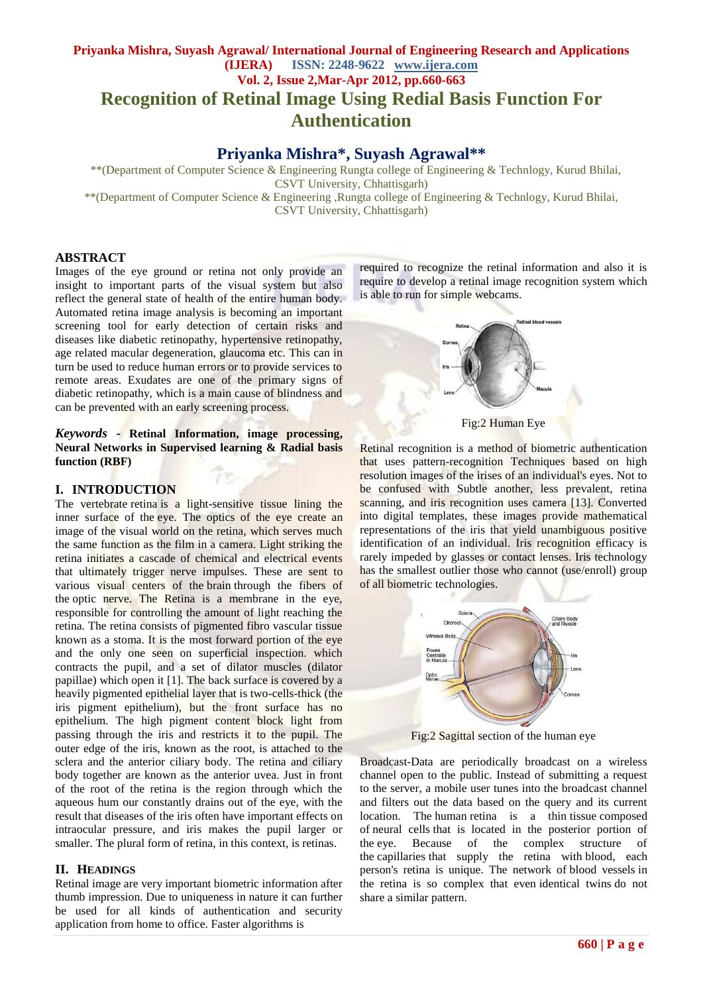# **Priyanka Mishra, Suyash Agrawal/ International Journal of Engineering Research and Applications (IJERA) ISSN: 2248-9622 www.ijera.com Vol. 2, Issue 2,Mar-Apr 2012, pp.660-663 Recognition of Retinal Image Using Redial Basis Function For Authentication**

# **Priyanka Mishra\*, Suyash Agrawal\*\***

 \*\*(Department of Computer Science & Engineering Rungta college of Engineering & Technlogy, Kurud Bhilai, CSVT University, Chhattisgarh)

\*\*(Department of Computer Science & Engineering ,Rungta college of Engineering & Technlogy, Kurud Bhilai, CSVT University, Chhattisgarh)

#### **ABSTRACT**

Images of the eye ground or retina not only provide an insight to important parts of the visual system but also reflect the general state of health of the entire human body. Automated retina image analysis is becoming an important screening tool for early detection of certain risks and diseases like diabetic retinopathy, hypertensive retinopathy, age related macular degeneration, glaucoma etc. This can in turn be used to reduce human errors or to provide services to remote areas. Exudates are one of the primary signs of diabetic retinopathy, which is a main cause of blindness and can be prevented with an early screening process.

*Keywords* **- Retinal Information, image processing, Neural Networks in Supervised learning & Radial basis function (RBF)**

#### **I. INTRODUCTION**

The vertebrate retina is a light-sensitive tissue lining the inner surface of the eye. The optics of the eye create an image of the visual world on the retina, which serves much the same function as the film in a camera. Light striking the retina initiates a cascade of chemical and electrical events that ultimately trigger nerve impulses. These are sent to various visual centers of the brain through the fibers of the optic nerve. The Retina is a membrane in the eye, responsible for controlling the amount of light reaching the retina. The retina consists of pigmented fibro vascular tissue known as a stoma. It is the most forward portion of the eye and the only one seen on superficial inspection. which contracts the pupil, and a set of dilator muscles (dilator papillae) which open it [1]. The back surface is covered by a heavily pigmented epithelial layer that is two-cells-thick (the iris pigment epithelium), but the front surface has no epithelium. The high pigment content block light from passing through the iris and restricts it to the pupil. The outer edge of the iris, known as the root, is attached to the sclera and the anterior ciliary body. The retina and ciliary body together are known as the anterior uvea. Just in front of the root of the retina is the region through which the aqueous hum our constantly drains out of the eye, with the result that diseases of the iris often have important effects on intraocular pressure, and iris makes the pupil larger or smaller. The plural form of retina, in this context, is retinas.

#### **II. HEADINGS**

Retinal image are very important biometric information after thumb impression. Due to uniqueness in nature it can further be used for all kinds of authentication and security application from home to office. Faster algorithms is

required to recognize the retinal information and also it is require to develop a retinal image recognition system which is able to run for simple webcams.



Fig:2 Human Eye

Retinal recognition is a method of biometric authentication that uses pattern-recognition Techniques based on high resolution images of the irises of an individual's eyes. Not to be confused with Subtle another, less prevalent, retina scanning, and iris recognition uses camera [13]. Converted into digital templates, these images provide mathematical representations of the iris that yield unambiguous positive identification of an individual. Iris recognition efficacy is rarely impeded by glasses or contact lenses. Iris technology has the smallest outlier those who cannot (use/enroll) group of all biometric technologies.



Fig:2 Sagittal section of the human eye

Broadcast-Data are periodically broadcast on a wireless channel open to the public. Instead of submitting a request to the server, a mobile user tunes into the broadcast channel and filters out the data based on the query and its current location. The [human](http://en.wikipedia.org/wiki/Human) retina is a thin [tissue](http://en.wikipedia.org/wiki/Tissue_(biology)) composed of [neural cells](http://en.wikipedia.org/wiki/Nerve) that is located in the posterior portion of the [eye.](http://en.wikipedia.org/wiki/Human_eye) Because of the complex structure of the [capillaries](http://en.wikipedia.org/wiki/Capillary) that supply the retina with [blood,](http://en.wikipedia.org/wiki/Blood) each person's retina is unique. The network of [blood vessels](http://en.wikipedia.org/wiki/Blood_vessel) in the retina is so complex that even [identical twins](http://en.wikipedia.org/wiki/Identical_twin) do not share a similar pattern.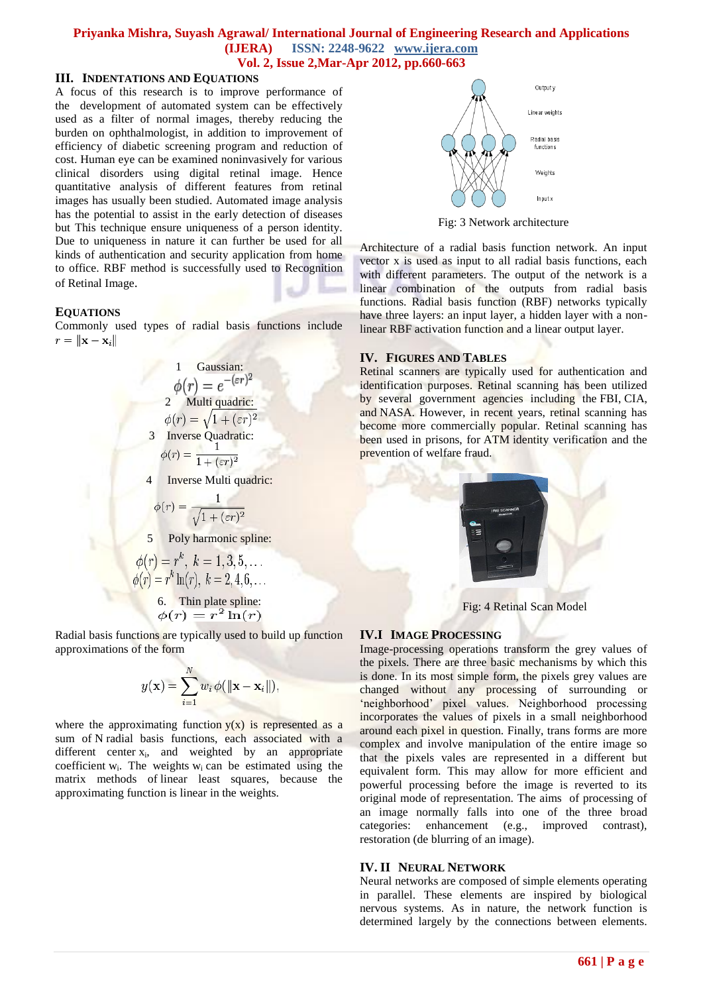## **Priyanka Mishra, Suyash Agrawal/ International Journal of Engineering Research and Applications (IJERA) ISSN: 2248-9622 www.ijera.com**

**Vol. 2, Issue 2,Mar-Apr 2012, pp.660-663**

#### **III. INDENTATIONS AND EQUATIONS**

A focus of this research is to improve performance of the development of automated system can be effectively used as a filter of normal images, thereby reducing the burden on ophthalmologist, in addition to improvement of efficiency of diabetic screening program and reduction of cost. Human eye can be examined noninvasively for various clinical disorders using digital retinal image. Hence quantitative analysis of different features from retinal images has usually been studied. Automated image analysis has the potential to assist in the early detection of diseases but This technique ensure uniqueness of a person identity. Due to uniqueness in nature it can further be used for all kinds of authentication and security application from home to office. RBF method is successfully used to Recognition of Retinal Image.

#### **EQUATIONS**

Commonly used types of radial basis functions include  $r = \|\mathbf{x} - \mathbf{x}_i\|$ 

1 Gaussian:  
\n
$$
\phi(r) = e^{-(\varepsilon r)^2}
$$
\n2 Multi quadric:  
\n
$$
\phi(r) = \sqrt{1 + (\varepsilon r)^2}
$$
\n3 Inverse Quadratic:  
\n
$$
\phi(r) = \frac{1}{1 + (\varepsilon r)^2}
$$
\n4 Inverse Multi quadric:  
\n
$$
\phi(r) = \frac{1}{\sqrt{1 + (\varepsilon r)^2}}
$$
\n5 Poly harmonic spline:

$$
\phi(r) = r^k, k = 1, 3, 5, \dots
$$
  
\n
$$
\phi(r) = r^k \ln(r), k = 2, 4, 6, \dots
$$
  
\n6. Thin plate spline:  
\n
$$
\phi(r) = r^2 \ln(r)
$$

Radial basis functions are typically used to build up function approximations of the form

$$
y(\mathbf{x}) = \sum_{i=1}^{N} w_i \phi(||\mathbf{x} - \mathbf{x}_i||),
$$

where the approximating function  $y(x)$  is represented as a sum of N radial basis functions, each associated with a different center  $x_i$ , and weighted by an appropriate coefficient  $w_i$ . The weights  $w_i$  can be estimated using the matrix methods of linear least squares, because the approximating function is linear in the weights.



Fig: 3 Network architecture

Architecture of a radial basis function network. An input vector x is used as input to all radial basis functions, each with different parameters. The output of the network is a linear combination of the outputs from radial basis functions. Radial basis function (RBF) networks typically have three layers: an input layer, a hidden layer with a nonlinear RBF activation function and a linear output layer.

#### **IV. FIGURES AND TABLES**

Retinal scanners are typically used for authentication and identification purposes. Retinal scanning has been utilized by several government agencies including the [FBI,](http://en.wikipedia.org/wiki/FBI) [CIA,](http://en.wikipedia.org/wiki/CIA) and [NASA.](http://en.wikipedia.org/wiki/NASA) However, in recent years, retinal scanning has become more commercially popular. Retinal scanning has been used in prisons, for [ATM](http://en.wikipedia.org/wiki/Automated_teller_machine) identity verification and the prevention of [welfare](http://en.wikipedia.org/wiki/Welfare_(financial_aid)) fraud.



Fig: 4 Retinal Scan Model

### **IV.I IMAGE PROCESSING**

Image-processing operations transform the grey values of the pixels. There are three basic mechanisms by which this is done. In its most simple form, the pixels grey values are changed without any processing of surrounding or 'neighborhood' pixel values. Neighborhood processing incorporates the values of pixels in a small neighborhood around each pixel in question. Finally, trans forms are more complex and involve manipulation of the entire image so that the pixels vales are represented in a different but equivalent form. This may allow for more efficient and powerful processing before the image is reverted to its original mode of representation. The aims of processing of an image normally falls into one of the three broad categories: enhancement (e.g., improved contrast), restoration (de blurring of an image).

#### **IV. II NEURAL NETWORK**

Neural networks are composed of simple elements operating in parallel. These elements are inspired by biological nervous systems. As in nature, the network function is determined largely by the connections between elements.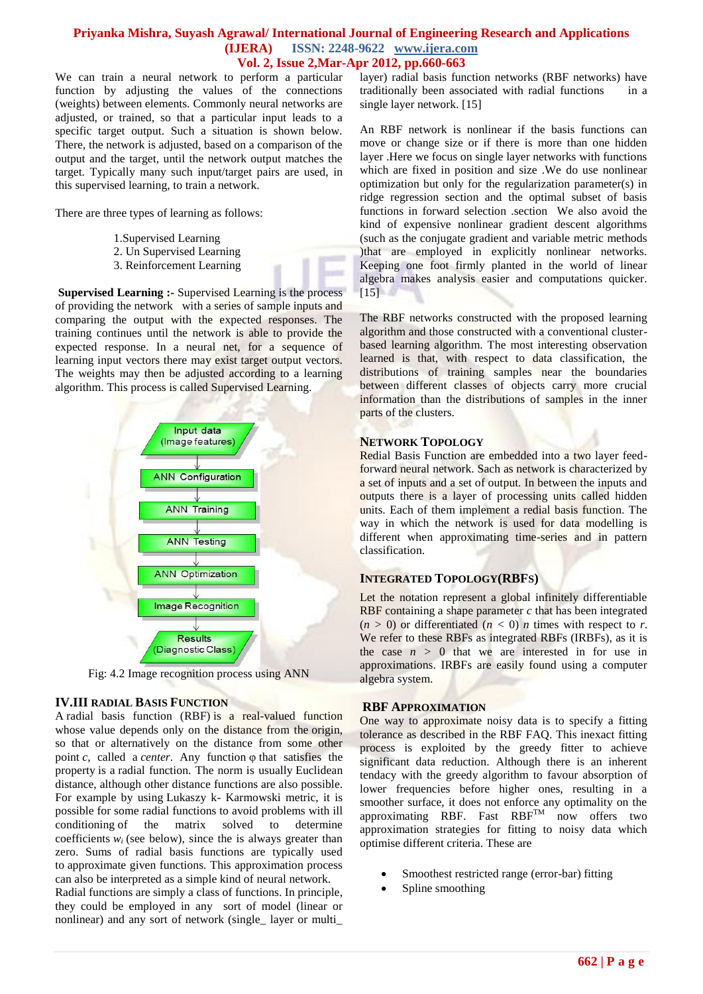#### **Priyanka Mishra, Suyash Agrawal/ International Journal of Engineering Research and Applications (IJERA) ISSN: 2248-9622 www.ijera.com Vol. 2, Issue 2,Mar-Apr 2012, pp.660-663**

We can train a neural network to perform a particular function by adjusting the values of the connections (weights) between elements. Commonly neural networks are adjusted, or trained, so that a particular input leads to a specific target output. Such a situation is shown below. There, the network is adjusted, based on a comparison of the output and the target, until the network output matches the target. Typically many such input/target pairs are used, in this supervised learning, to train a network.

There are three types of learning as follows:

- 1.Supervised Learning
- 2. Un Supervised Learning
- 3. Reinforcement Learning

**Supervised Learning :-** Supervised Learning is the process of providing the network with a series of sample inputs and comparing the output with the expected responses. The training continues until the network is able to provide the expected response. In a neural net, for a sequence of learning input vectors there may exist target output vectors. The weights may then be adjusted according to a learning algorithm. This process is called Supervised Learning.



Fig: 4.2 Image recognition process using ANN

#### **IV.III RADIAL BASIS FUNCTION**

A radial basis function (RBF) is a real-valued function whose value depends only on the distance from the origin, so that or alternatively on the distance from some other point *c*, called a *center*. Any function φ that satisfies the property is a radial function. The norm is usually Euclidean distance, although other distance functions are also possible. For example by using Lukaszy k- Karmowski metric, it is possible for some radial functions to avoid problems with ill conditioning of the matrix solved to determine coefficients  $w_i$  (see below), since the is always greater than zero. Sums of radial basis functions are typically used to approximate given functions. This approximation process can also be interpreted as a simple kind of neural network.

Radial functions are simply a class of functions. In principle, they could be employed in any sort of model (linear or nonlinear) and any sort of network (single\_ layer or multi\_ layer) radial basis function networks (RBF networks) have traditionally been associated with radial functions in a single layer network. [15]

An RBF network is nonlinear if the basis functions can move or change size or if there is more than one hidden layer .Here we focus on single layer networks with functions which are fixed in position and size .We do use nonlinear optimization but only for the regularization parameter(s) in ridge regression section and the optimal subset of basis functions in forward selection .section We also avoid the kind of expensive nonlinear gradient descent algorithms (such as the conjugate gradient and variable metric methods )that are employed in explicitly nonlinear networks. Keeping one foot firmly planted in the world of linear algebra makes analysis easier and computations quicker.  $[15]$ 

The RBF networks constructed with the proposed learning algorithm and those constructed with a conventional clusterbased learning algorithm. The most interesting observation learned is that, with respect to data classification, the distributions of training samples near the boundaries between different classes of objects carry more crucial information than the distributions of samples in the inner parts of the clusters.

#### **NETWORK TOPOLOGY**

Redial Basis Function are embedded into a two layer feedforward neural network. Sach as network is characterized by a set of inputs and a set of output. In between the inputs and outputs there is a layer of processing units called hidden units. Each of them implement a redial basis function. The way in which the network is used for data modelling is different when approximating time-series and in pattern classification.

#### **INTEGRATED TOPOLOGY(RBFS)**

Let the notation represent a global infinitely differentiable RBF containing a shape parameter *c* that has been integrated  $(n > 0)$  or differentiated  $(n < 0)$  *n* times with respect to *r*. We refer to these RBFs as integrated RBFs (IRBFs), as it is the case  $n > 0$  that we are interested in for use in approximations. IRBFs are easily found using a computer algebra system.

#### **RBF APPROXIMATION**

One way to approximate noisy data is to specify a fitting tolerance as described in the RBF FAQ. This inexact fitting process is exploited by the greedy fitter to achieve significant data reduction. Although there is an inherent tendacy with the greedy algorithm to favour absorption of lower frequencies before higher ones, resulting in a smoother surface, it does not enforce any optimality on the approximating RBF. Fast  $RBF^{\text{TM}}$  now offers two approximation strategies for fitting to noisy data which optimise different criteria. These are

- Smoothest restricted range (error-bar) fitting
- Spline smoothing